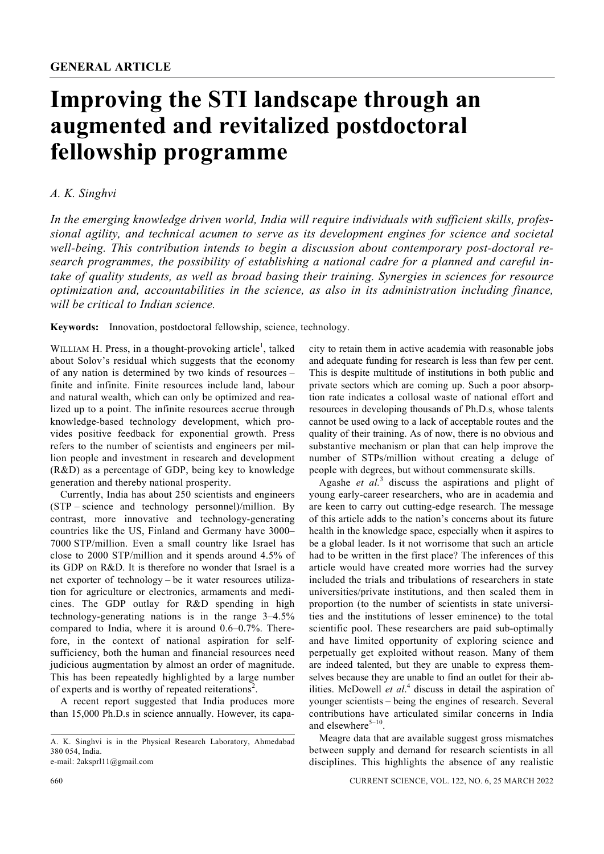## **Improving the STI landscape through an augmented and revitalized postdoctoral fellowship programme**

## *A. K. Singhvi*

*In the emerging knowledge driven world, India will require individuals with sufficient skills, professional agility, and technical acumen to serve as its development engines for science and societal well-being. This contribution intends to begin a discussion about contemporary post-doctoral research programmes, the possibility of establishing a national cadre for a planned and careful intake of quality students, as well as broad basing their training. Synergies in sciences for resource optimization and, accountabilities in the science, as also in its administration including finance, will be critical to Indian science.* 

**Keywords:** Innovation, postdoctoral fellowship, science, technology.

WILLIAM H. Press, in a thought-provoking article<sup>1</sup>, talked about Solov's residual which suggests that the economy of any nation is determined by two kinds of resources – finite and infinite. Finite resources include land, labour and natural wealth, which can only be optimized and realized up to a point. The infinite resources accrue through knowledge-based technology development, which provides positive feedback for exponential growth. Press refers to the number of scientists and engineers per million people and investment in research and development (R&D) as a percentage of GDP, being key to knowledge generation and thereby national prosperity.

 Currently, India has about 250 scientists and engineers (STP – science and technology personnel)/million. By contrast, more innovative and technology-generating countries like the US, Finland and Germany have 3000– 7000 STP/million. Even a small country like Israel has close to 2000 STP/million and it spends around 4.5% of its GDP on R&D. It is therefore no wonder that Israel is a net exporter of technology – be it water resources utilization for agriculture or electronics, armaments and medicines. The GDP outlay for R&D spending in high technology-generating nations is in the range 3–4.5% compared to India, where it is around 0.6–0.7%. Therefore, in the context of national aspiration for selfsufficiency, both the human and financial resources need judicious augmentation by almost an order of magnitude. This has been repeatedly highlighted by a large number of experts and is worthy of repeated reiterations<sup>2</sup>.

 A recent report suggested that India produces more than 15,000 Ph.D.s in science annually. However, its capacity to retain them in active academia with reasonable jobs and adequate funding for research is less than few per cent. This is despite multitude of institutions in both public and private sectors which are coming up. Such a poor absorption rate indicates a collosal waste of national effort and resources in developing thousands of Ph.D.s, whose talents cannot be used owing to a lack of acceptable routes and the quality of their training. As of now, there is no obvious and substantive mechanism or plan that can help improve the number of STPs/million without creating a deluge of people with degrees, but without commensurate skills.

Agashe *et al.*<sup>3</sup> discuss the aspirations and plight of young early-career researchers, who are in academia and are keen to carry out cutting-edge research. The message of this article adds to the nation's concerns about its future health in the knowledge space, especially when it aspires to be a global leader. Is it not worrisome that such an article had to be written in the first place? The inferences of this article would have created more worries had the survey included the trials and tribulations of researchers in state universities/private institutions, and then scaled them in proportion (to the number of scientists in state universities and the institutions of lesser eminence) to the total scientific pool. These researchers are paid sub-optimally and have limited opportunity of exploring science and perpetually get exploited without reason. Many of them are indeed talented, but they are unable to express themselves because they are unable to find an outlet for their abilities. McDowell *et al.*<sup>4</sup> discuss in detail the aspiration of younger scientists – being the engines of research. Several contributions have articulated similar concerns in India and elsewhere $5-10$ .

 Meagre data that are available suggest gross mismatches between supply and demand for research scientists in all disciplines. This highlights the absence of any realistic

A. K. Singhvi is in the Physical Research Laboratory, Ahmedabad 380 054, India.

e-mail: 2aksprl11@gmail.com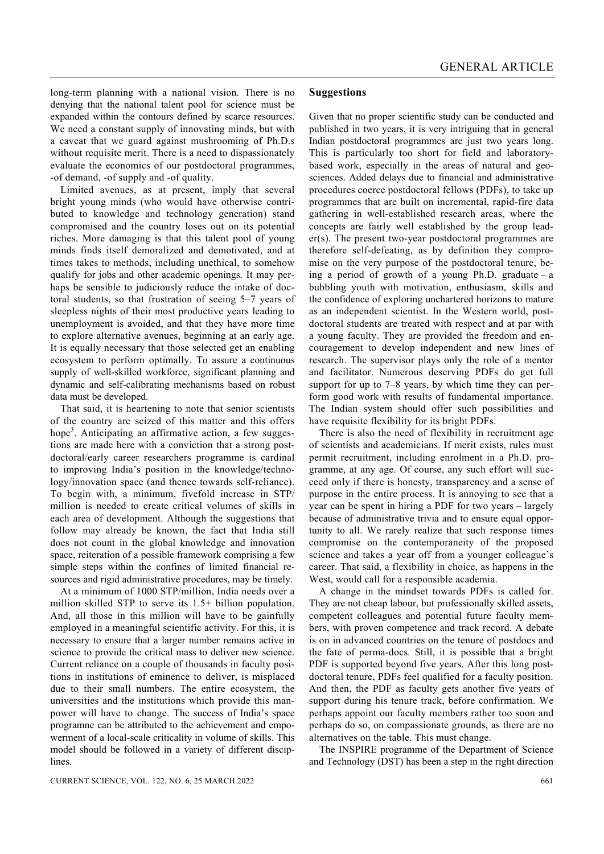long-term planning with a national vision. There is no denying that the national talent pool for science must be expanded within the contours defined by scarce resources. We need a constant supply of innovating minds, but with a caveat that we guard against mushrooming of Ph.D.s without requisite merit. There is a need to dispassionately evaluate the economics of our postdoctoral programmes, -of demand, -of supply and -of quality.

 Limited avenues, as at present, imply that several bright young minds (who would have otherwise contributed to knowledge and technology generation) stand compromised and the country loses out on its potential riches. More damaging is that this talent pool of young minds finds itself demoralized and demotivated, and at times takes to methods, including unethical, to somehow qualify for jobs and other academic openings. It may perhaps be sensible to judiciously reduce the intake of doctoral students, so that frustration of seeing 5–7 years of sleepless nights of their most productive years leading to unemployment is avoided, and that they have more time to explore alternative avenues, beginning at an early age. It is equally necessary that those selected get an enabling ecosystem to perform optimally. To assure a continuous supply of well-skilled workforce, significant planning and dynamic and self-calibrating mechanisms based on robust data must be developed.

 That said, it is heartening to note that senior scientists of the country are seized of this matter and this offers hope<sup>3</sup>. Anticipating an affirmative action, a few suggestions are made here with a conviction that a strong postdoctoral/early career researchers programme is cardinal to improving India's position in the knowledge/technology/innovation space (and thence towards self-reliance). To begin with, a minimum, fivefold increase in STP/ million is needed to create critical volumes of skills in each area of development. Although the suggestions that follow may already be known, the fact that India still does not count in the global knowledge and innovation space, reiteration of a possible framework comprising a few simple steps within the confines of limited financial resources and rigid administrative procedures, may be timely.

 At a minimum of 1000 STP/million, India needs over a million skilled STP to serve its 1.5+ billion population. And, all those in this million will have to be gainfully employed in a meaningful scientific activity. For this, it is necessary to ensure that a larger number remains active in science to provide the critical mass to deliver new science. Current reliance on a couple of thousands in faculty positions in institutions of eminence to deliver, is misplaced due to their small numbers. The entire ecosystem, the universities and the institutions which provide this manpower will have to change. The success of India's space programne can be attributed to the achievement and empowerment of a local-scale criticality in volume of skills. This model should be followed in a variety of different disciplines.

## **Suggestions**

Given that no proper scientific study can be conducted and published in two years, it is very intriguing that in general Indian postdoctoral programmes are just two years long. This is particularly too short for field and laboratorybased work, especially in the areas of natural and geosciences. Added delays due to financial and administrative procedures coerce postdoctoral fellows (PDFs), to take up programmes that are built on incremental, rapid-fire data gathering in well-established research areas, where the concepts are fairly well established by the group leader(s). The present two-year postdoctoral programmes are therefore self-defeating, as by definition they compromise on the very purpose of the postdoctoral tenure, being a period of growth of a young Ph.D. graduate – a bubbling youth with motivation, enthusiasm, skills and the confidence of exploring unchartered horizons to mature as an independent scientist. In the Western world, postdoctoral students are treated with respect and at par with a young faculty. They are provided the freedom and encouragement to develop independent and new lines of research. The supervisor plays only the role of a mentor and facilitator. Numerous deserving PDFs do get full support for up to 7–8 years, by which time they can perform good work with results of fundamental importance. The Indian system should offer such possibilities and have requisite flexibility for its bright PDFs.

 There is also the need of flexibility in recruitment age of scientists and academicians. If merit exists, rules must permit recruitment, including enrolment in a Ph.D. programme, at any age. Of course, any such effort will succeed only if there is honesty, transparency and a sense of purpose in the entire process. It is annoying to see that a year can be spent in hiring a PDF for two years – largely because of administrative trivia and to ensure equal opportunity to all. We rarely realize that such response times compromise on the contemporaneity of the proposed science and takes a year off from a younger colleague's career. That said, a flexibility in choice, as happens in the West, would call for a responsible academia.

 A change in the mindset towards PDFs is called for. They are not cheap labour, but professionally skilled assets, competent colleagues and potential future faculty members, with proven competence and track record. A debate is on in advanced countries on the tenure of postdocs and the fate of perma-docs*.* Still, it is possible that a bright PDF is supported beyond five years. After this long postdoctoral tenure, PDFs feel qualified for a faculty position. And then, the PDF as faculty gets another five years of support during his tenure track, before confirmation. We perhaps appoint our faculty members rather too soon and perhaps do so, on compassionate grounds, as there are no alternatives on the table. This must change.

 The INSPIRE programme of the Department of Science and Technology (DST) has been a step in the right direction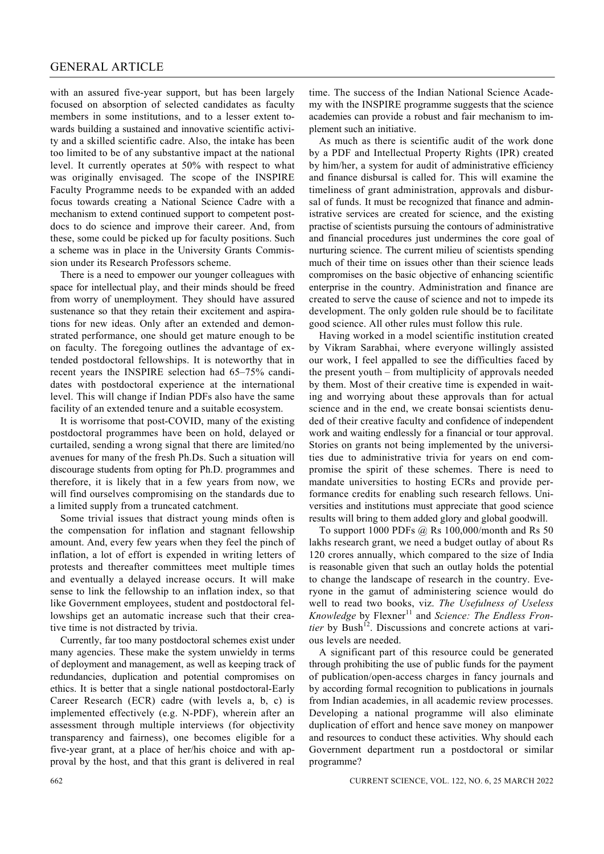## GENERAL ARTICLE

with an assured five-year support, but has been largely focused on absorption of selected candidates as faculty members in some institutions, and to a lesser extent towards building a sustained and innovative scientific activity and a skilled scientific cadre. Also, the intake has been too limited to be of any substantive impact at the national level. It currently operates at 50% with respect to what was originally envisaged. The scope of the INSPIRE Faculty Programme needs to be expanded with an added focus towards creating a National Science Cadre with a mechanism to extend continued support to competent postdocs to do science and improve their career. And, from these, some could be picked up for faculty positions. Such a scheme was in place in the University Grants Commission under its Research Professors scheme.

 There is a need to empower our younger colleagues with space for intellectual play, and their minds should be freed from worry of unemployment. They should have assured sustenance so that they retain their excitement and aspirations for new ideas. Only after an extended and demonstrated performance, one should get mature enough to be on faculty. The foregoing outlines the advantage of extended postdoctoral fellowships. It is noteworthy that in recent years the INSPIRE selection had 65–75% candidates with postdoctoral experience at the international level. This will change if Indian PDFs also have the same facility of an extended tenure and a suitable ecosystem.

 It is worrisome that post-COVID, many of the existing postdoctoral programmes have been on hold, delayed or curtailed, sending a wrong signal that there are limited/no avenues for many of the fresh Ph.Ds. Such a situation will discourage students from opting for Ph.D. programmes and therefore, it is likely that in a few years from now, we will find ourselves compromising on the standards due to a limited supply from a truncated catchment.

 Some trivial issues that distract young minds often is the compensation for inflation and stagnant fellowship amount. And, every few years when they feel the pinch of inflation, a lot of effort is expended in writing letters of protests and thereafter committees meet multiple times and eventually a delayed increase occurs. It will make sense to link the fellowship to an inflation index, so that like Government employees, student and postdoctoral fellowships get an automatic increase such that their creative time is not distracted by trivia.

 Currently, far too many postdoctoral schemes exist under many agencies. These make the system unwieldy in terms of deployment and management, as well as keeping track of redundancies, duplication and potential compromises on ethics. It is better that a single national postdoctoral-Early Career Research (ECR) cadre (with levels a, b, c) is implemented effectively (e.g. N-PDF), wherein after an assessment through multiple interviews (for objectivity transparency and fairness), one becomes eligible for a five-year grant, at a place of her/his choice and with approval by the host, and that this grant is delivered in real time. The success of the Indian National Science Academy with the INSPIRE programme suggests that the science academies can provide a robust and fair mechanism to implement such an initiative.

 As much as there is scientific audit of the work done by a PDF and Intellectual Property Rights (IPR) created by him/her, a system for audit of administrative efficiency and finance disbursal is called for. This will examine the timeliness of grant administration, approvals and disbursal of funds. It must be recognized that finance and administrative services are created for science, and the existing practise of scientists pursuing the contours of administrative and financial procedures just undermines the core goal of nurturing science. The current milieu of scientists spending much of their time on issues other than their science leads compromises on the basic objective of enhancing scientific enterprise in the country. Administration and finance are created to serve the cause of science and not to impede its development. The only golden rule should be to facilitate good science. All other rules must follow this rule.

 Having worked in a model scientific institution created by Vikram Sarabhai, where everyone willingly assisted our work, I feel appalled to see the difficulties faced by the present youth – from multiplicity of approvals needed by them. Most of their creative time is expended in waiting and worrying about these approvals than for actual science and in the end, we create bonsai scientists denuded of their creative faculty and confidence of independent work and waiting endlessly for a financial or tour approval. Stories on grants not being implemented by the universities due to administrative trivia for years on end compromise the spirit of these schemes. There is need to mandate universities to hosting ECRs and provide performance credits for enabling such research fellows. Universities and institutions must appreciate that good science results will bring to them added glory and global goodwill.

 To support 1000 PDFs @ Rs 100,000/month and Rs 50 lakhs research grant, we need a budget outlay of about Rs 120 crores annually, which compared to the size of India is reasonable given that such an outlay holds the potential to change the landscape of research in the country. Everyone in the gamut of administering science would do well to read two books, viz. *The Usefulness of Useless Knowledge* by Flexner<sup>11</sup> and *Science: The Endless Frontier* by Bush<sup>12</sup>. Discussions and concrete actions at various levels are needed.

 A significant part of this resource could be generated through prohibiting the use of public funds for the payment of publication/open-access charges in fancy journals and by according formal recognition to publications in journals from Indian academies, in all academic review processes. Developing a national programme will also eliminate duplication of effort and hence save money on manpower and resources to conduct these activities. Why should each Government department run a postdoctoral or similar programme?